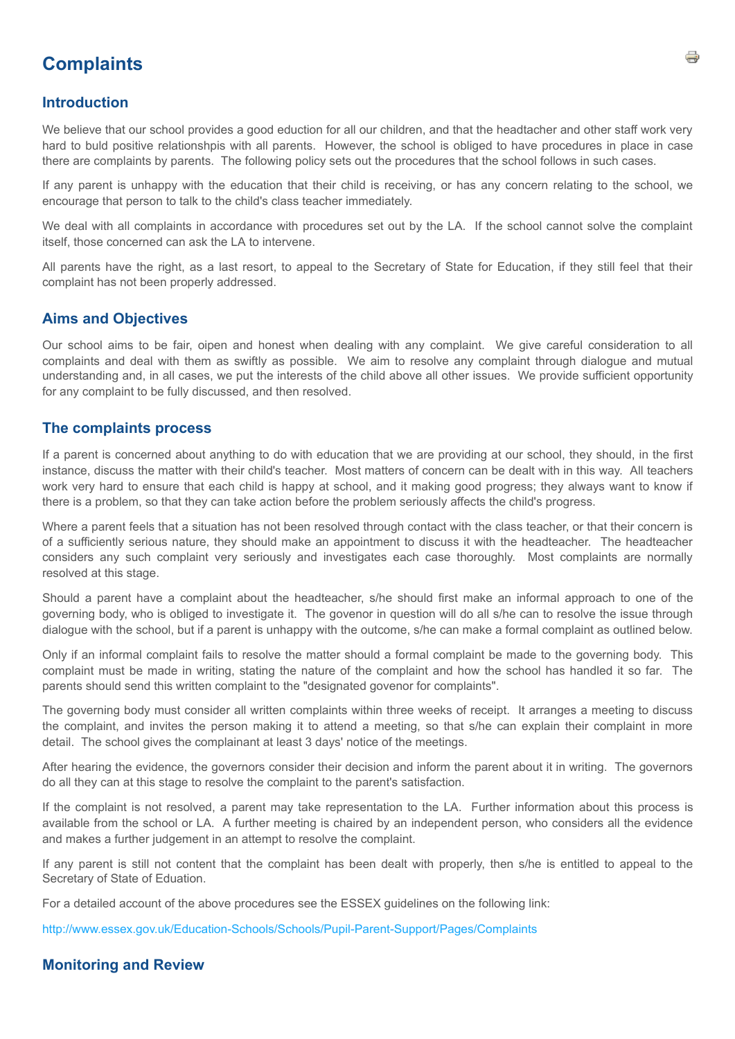# **Complaints**

#### **Introduction**

We believe that our school provides a good eduction for all our children, and that the headtacher and other staff work very hard to buld positive relationshpis with all parents. However, the school is obliged to have procedures in place in case there are complaints by parents. The following policy sets out the procedures that the school follows in such cases.

If any parent is unhappy with the education that their child is receiving, or has any concern relating to the school, we encourage that person to talk to the child's class teacher immediately.

We deal with all complaints in accordance with procedures set out by the LA. If the school cannot solve the complaint itself, those concerned can ask the LA to intervene.

All parents have the right, as a last resort, to appeal to the Secretary of State for Education, if they still feel that their complaint has not been properly addressed.

#### **Aims and Objectives**

Our school aims to be fair, oipen and honest when dealing with any complaint. We give careful consideration to all complaints and deal with them as swiftly as possible. We aim to resolve any complaint through dialogue and mutual understanding and, in all cases, we put the interests of the child above all other issues. We provide sufficient opportunity for any complaint to be fully discussed, and then resolved.

### **The complaints process**

If a parent is concerned about anything to do with education that we are providing at our school, they should, in the first instance, discuss the matter with their child's teacher. Most matters of concern can be dealt with in this way. All teachers work very hard to ensure that each child is happy at school, and it making good progress; they always want to know if there is a problem, so that they can take action before the problem seriously affects the child's progress.

Where a parent feels that a situation has not been resolved through contact with the class teacher, or that their concern is of a sufficiently serious nature, they should make an appointment to discuss it with the headteacher. The headteacher considers any such complaint very seriously and investigates each case thoroughly. Most complaints are normally resolved at this stage.

Should a parent have a complaint about the headteacher, s/he should first make an informal approach to one of the governing body, who is obliged to investigate it. The govenor in question will do all s/he can to resolve the issue through dialogue with the school, but if a parent is unhappy with the outcome, s/he can make a formal complaint as outlined below.

Only if an informal complaint fails to resolve the matter should a formal complaint be made to the governing body. This complaint must be made in writing, stating the nature of the complaint and how the school has handled it so far. The parents should send this written complaint to the "designated govenor for complaints".

The governing body must consider all written complaints within three weeks of receipt. It arranges a meeting to discuss the complaint, and invites the person making it to attend a meeting, so that s/he can explain their complaint in more detail. The school gives the complainant at least 3 days' notice of the meetings.

After hearing the evidence, the governors consider their decision and inform the parent about it in writing. The governors do all they can at this stage to resolve the complaint to the parent's satisfaction.

If the complaint is not resolved, a parent may take representation to the LA. Further information about this process is available from the school or LA. A further meeting is chaired by an independent person, who considers all the evidence and makes a further judgement in an attempt to resolve the complaint.

If any parent is still not content that the complaint has been dealt with properly, then s/he is entitled to appeal to the Secretary of State of Eduation.

For a detailed account of the above procedures see the ESSEX guidelines on the following link:

<http://www.essex.gov.uk/Education-Schools/Schools/Pupil-Parent-Support/Pages/Complaints>

## **Monitoring and Review**